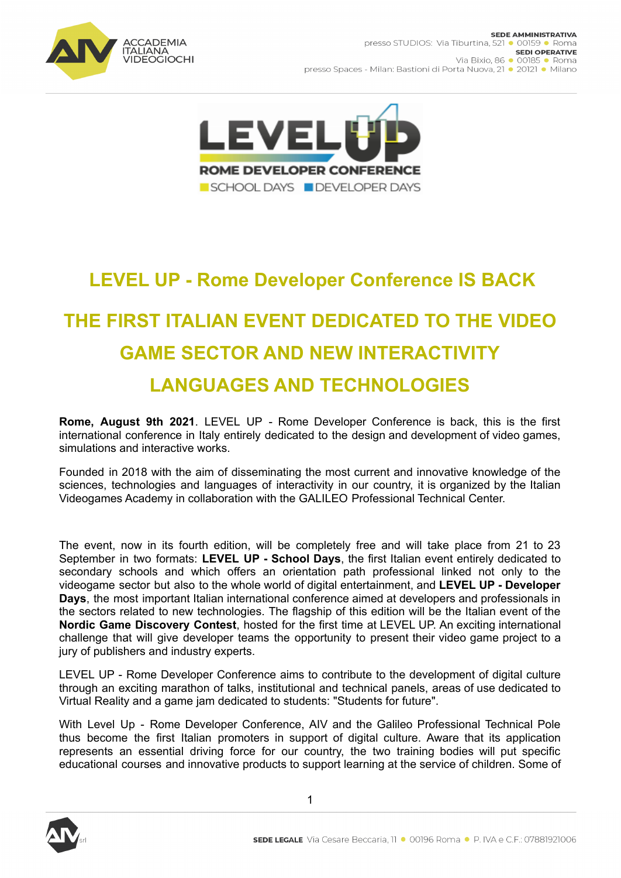



## **LEVEL UP - Rome Developer Conference IS BACK**

## **THE FIRST ITALIAN EVENT DEDICATED TO THE VIDEO GAME SECTOR AND NEW INTERACTIVITY LANGUAGES AND TECHNOLOGIES**

**Rome, August 9th 2021**. LEVEL UP - Rome Developer Conference is back, this is the first international conference in Italy entirely dedicated to the design and development of video games, simulations and interactive works.

Founded in 2018 with the aim of disseminating the most current and innovative knowledge of the sciences, technologies and languages of interactivity in our country, it is organized by the Italian Videogames Academy in collaboration with the GALILEO Professional Technical Center.

The event, now in its fourth edition, will be completely free and will take place from 21 to 23 September in two formats: **LEVEL UP - School Days**, the first Italian event entirely dedicated to secondary schools and which offers an orientation path professional linked not only to the videogame sector but also to the whole world of digital entertainment, and **LEVEL UP - Developer Days**, the most important Italian international conference aimed at developers and professionals in the sectors related to new technologies. The flagship of this edition will be the Italian event of the **Nordic Game Discovery Contest**, hosted for the first time at LEVEL UP. An exciting international challenge that will give developer teams the opportunity to present their video game project to a jury of publishers and industry experts.

LEVEL UP - Rome Developer Conference aims to contribute to the development of digital culture through an exciting marathon of talks, institutional and technical panels, areas of use dedicated to Virtual Reality and a game jam dedicated to students: "Students for future".

With Level Up - Rome Developer Conference, AIV and the Galileo Professional Technical Pole thus become the first Italian promoters in support of digital culture. Aware that its application represents an essential driving force for our country, the two training bodies will put specific educational courses and innovative products to support learning at the service of children. Some of